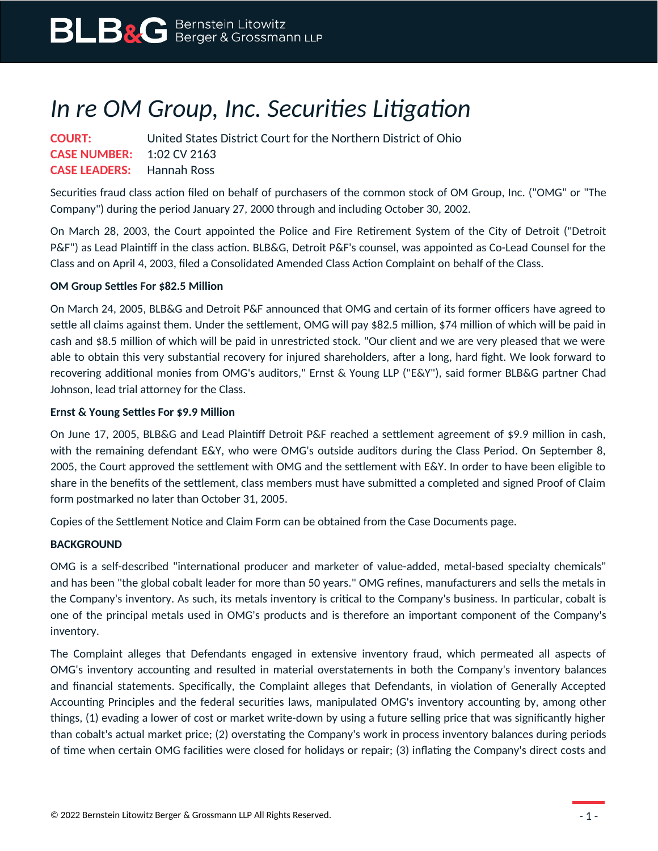# *In re OM Group, Inc. Securities Litigation*

| <b>COURT:</b>                    | United States District Court for the Northern District of Ohio |
|----------------------------------|----------------------------------------------------------------|
| <b>CASE NUMBER:</b> 1:02 CV 2163 |                                                                |
| <b>CASE LEADERS:</b> Hannah Ross |                                                                |

Securities fraud class action filed on behalf of purchasers of the common stock of OM Group, Inc. ("OMG" or "The Company") during the period January 27, 2000 through and including October 30, 2002.

On March 28, 2003, the Court appointed the Police and Fire Retirement System of the City of Detroit ("Detroit P&F") as Lead Plaintiff in the class action. BLB&G, Detroit P&F's counsel, was appointed as Co-Lead Counsel for the Class and on April 4, 2003, filed a Consolidated Amended Class Action Complaint on behalf of the Class.

### **OM Group Settles For \$82.5 Million**

On March 24, 2005, BLB&G and Detroit P&F announced that OMG and certain of its former officers have agreed to settle all claims against them. Under the settlement, OMG will pay \$82.5 million, \$74 million of which will be paid in cash and \$8.5 million of which will be paid in unrestricted stock. "Our client and we are very pleased that we were able to obtain this very substantial recovery for injured shareholders, after a long, hard fight. We look forward to recovering additional monies from OMG's auditors," Ernst & Young LLP ("E&Y"), said former BLB&G partner Chad Johnson, lead trial attorney for the Class.

### **Ernst & Young Settles For \$9.9 Million**

On June 17, 2005, BLB&G and Lead Plaintiff Detroit P&F reached a settlement agreement of \$9.9 million in cash, with the remaining defendant E&Y, who were OMG's outside auditors during the Class Period. On September 8, 2005, the Court approved the settlement with OMG and the settlement with E&Y. In order to have been eligible to share in the benefits of the settlement, class members must have submitted a completed and signed Proof of Claim form postmarked no later than October 31, 2005.

Copies of the Settlement Notice and Claim Form can be obtained from the Case Documents page.

### **BACKGROUND**

OMG is a self-described "international producer and marketer of value-added, metal-based specialty chemicals" and has been "the global cobalt leader for more than 50 years." OMG refines, manufacturers and sells the metals in the Company's inventory. As such, its metals inventory is critical to the Company's business. In particular, cobalt is one of the principal metals used in OMG's products and is therefore an important component of the Company's inventory.

The Complaint alleges that Defendants engaged in extensive inventory fraud, which permeated all aspects of OMG's inventory accounting and resulted in material overstatements in both the Company's inventory balances and financial statements. Specifically, the Complaint alleges that Defendants, in violation of Generally Accepted Accounting Principles and the federal securities laws, manipulated OMG's inventory accounting by, among other things, (1) evading a lower of cost or market write-down by using a future selling price that was significantly higher than cobalt's actual market price; (2) overstating the Company's work in process inventory balances during periods of time when certain OMG facilities were closed for holidays or repair; (3) inflating the Company's direct costs and